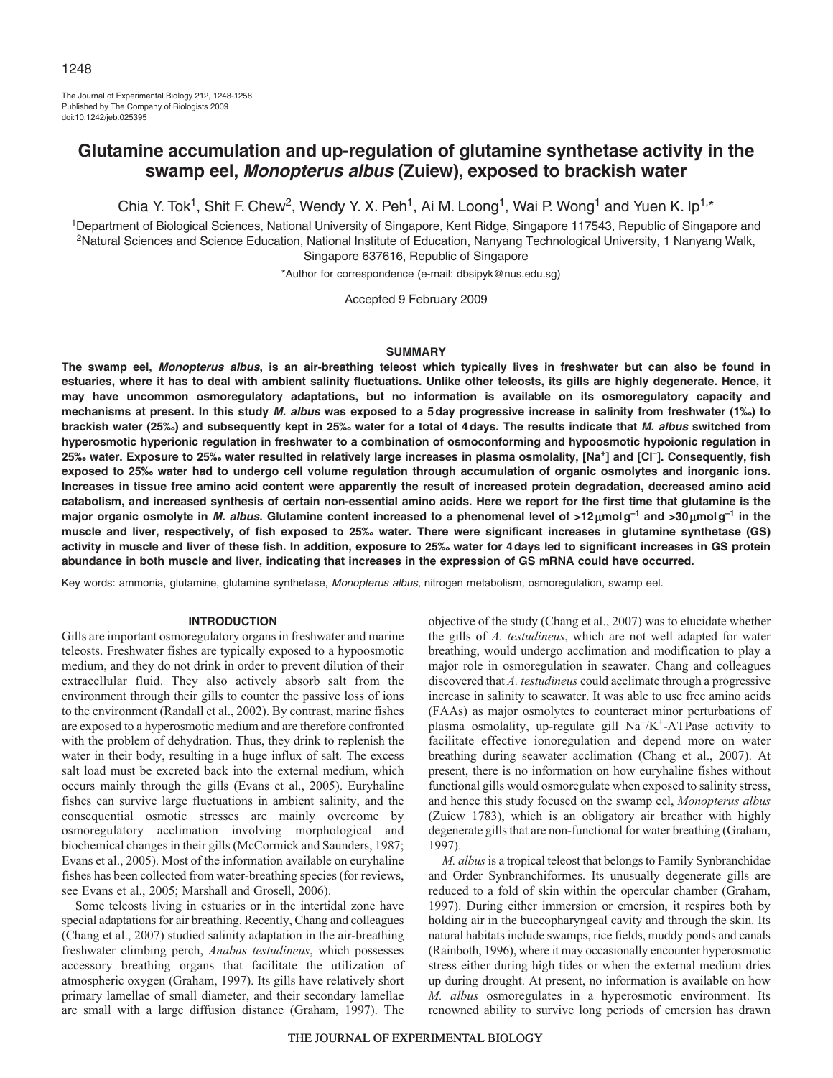The Journal of Experimental Biology 212, 1248-1258 Published by The Company of Biologists 2009 doi:10.1242/jeb.025395

# **Glutamine accumulation and up-regulation of glutamine synthetase activity in the swamp eel, Monopterus albus (Zuiew), exposed to brackish water**

Chia Y. Tok<sup>1</sup>, Shit F. Chew<sup>2</sup>, Wendy Y. X. Peh<sup>1</sup>, Ai M. Loong<sup>1</sup>, Wai P. Wong<sup>1</sup> and Yuen K. Ip<sup>1,\*</sup>

<sup>1</sup>Department of Biological Sciences, National University of Singapore, Kent Ridge, Singapore 117543, Republic of Singapore and 2Natural Sciences and Science Education, National Institute of Education, Nanyang Technological University, 1 Nanyang Walk, Singapore 637616, Republic of Singapore

\*Author for correspondence (e-mail: dbsipyk@nus.edu.sg)

Accepted 9 February 2009

#### **SUMMARY**

**The swamp eel, Monopterus albus, is an air-breathing teleost which typically lives in freshwater but can also be found in estuaries, where it has to deal with ambient salinity fluctuations. Unlike other teleosts, its gills are highly degenerate. Hence, it may have uncommon osmoregulatory adaptations, but no information is available on its osmoregulatory capacity and mechanisms at present. In this study M. albus was exposed to a 5day progressive increase in salinity from freshwater (1‰) to brackish water (25‰) and subsequently kept in 25‰ water for a total of 4days. The results indicate that M. albus switched from hyperosmotic hyperionic regulation in freshwater to a combination of osmoconforming and hypoosmotic hypoionic regulation in 25‰ water. Exposure to 25‰ water resulted in relatively large increases in plasma osmolality, [Na+] and [Cl–]. Consequently, fish exposed to 25‰ water had to undergo cell volume regulation through accumulation of organic osmolytes and inorganic ions. Increases in tissue free amino acid content were apparently the result of increased protein degradation, decreased amino acid catabolism, and increased synthesis of certain non-essential amino acids. Here we report for the first time that glutamine is the major organic osmolyte in M. albus. Glutamine content increased to a phenomenal level of >12**μ**molg–1 and >30**μ**molg–1 in the muscle and liver, respectively, of fish exposed to 25‰ water. There were significant increases in glutamine synthetase (GS) activity in muscle and liver of these fish. In addition, exposure to 25‰ water for 4days led to significant increases in GS protein abundance in both muscle and liver, indicating that increases in the expression of GS mRNA could have occurred.**

Key words: ammonia, glutamine, glutamine synthetase, Monopterus albus, nitrogen metabolism, osmoregulation, swamp eel.

#### **INTRODUCTION**

Gills are important osmoregulatory organs in freshwater and marine teleosts. Freshwater fishes are typically exposed to a hypoosmotic medium, and they do not drink in order to prevent dilution of their extracellular fluid. They also actively absorb salt from the environment through their gills to counter the passive loss of ions to the environment (Randall et al., 2002). By contrast, marine fishes are exposed to a hyperosmotic medium and are therefore confronted with the problem of dehydration. Thus, they drink to replenish the water in their body, resulting in a huge influx of salt. The excess salt load must be excreted back into the external medium, which occurs mainly through the gills (Evans et al., 2005). Euryhaline fishes can survive large fluctuations in ambient salinity, and the consequential osmotic stresses are mainly overcome by osmoregulatory acclimation involving morphological and biochemical changes in their gills (McCormick and Saunders, 1987; Evans et al., 2005). Most of the information available on euryhaline fishes has been collected from water-breathing species (for reviews, see Evans et al., 2005; Marshall and Grosell, 2006).

Some teleosts living in estuaries or in the intertidal zone have special adaptations for air breathing. Recently, Chang and colleagues (Chang et al., 2007) studied salinity adaptation in the air-breathing freshwater climbing perch, *Anabas testudineus*, which possesses accessory breathing organs that facilitate the utilization of atmospheric oxygen (Graham, 1997). Its gills have relatively short primary lamellae of small diameter, and their secondary lamellae are small with a large diffusion distance (Graham, 1997). The

objective of the study (Chang et al., 2007) was to elucidate whether the gills of *A. testudineus*, which are not well adapted for water breathing, would undergo acclimation and modification to play a major role in osmoregulation in seawater. Chang and colleagues discovered that *A. testudineus* could acclimate through a progressive increase in salinity to seawater. It was able to use free amino acids (FAAs) as major osmolytes to counteract minor perturbations of plasma osmolality, up-regulate gill  $Na^{+}/K^{+}$ -ATPase activity to facilitate effective ionoregulation and depend more on water breathing during seawater acclimation (Chang et al., 2007). At present, there is no information on how euryhaline fishes without functional gills would osmoregulate when exposed to salinity stress, and hence this study focused on the swamp eel, *Monopterus albus* (Zuiew 1783), which is an obligatory air breather with highly degenerate gills that are non-functional for water breathing (Graham, 1997).

*M. albus*is a tropical teleost that belongs to Family Synbranchidae and Order Synbranchiformes. Its unusually degenerate gills are reduced to a fold of skin within the opercular chamber (Graham, 1997). During either immersion or emersion, it respires both by holding air in the buccopharyngeal cavity and through the skin. Its natural habitats include swamps, rice fields, muddy ponds and canals (Rainboth, 1996), where it may occasionally encounter hyperosmotic stress either during high tides or when the external medium dries up during drought. At present, no information is available on how *M. albus* osmoregulates in a hyperosmotic environment. Its renowned ability to survive long periods of emersion has drawn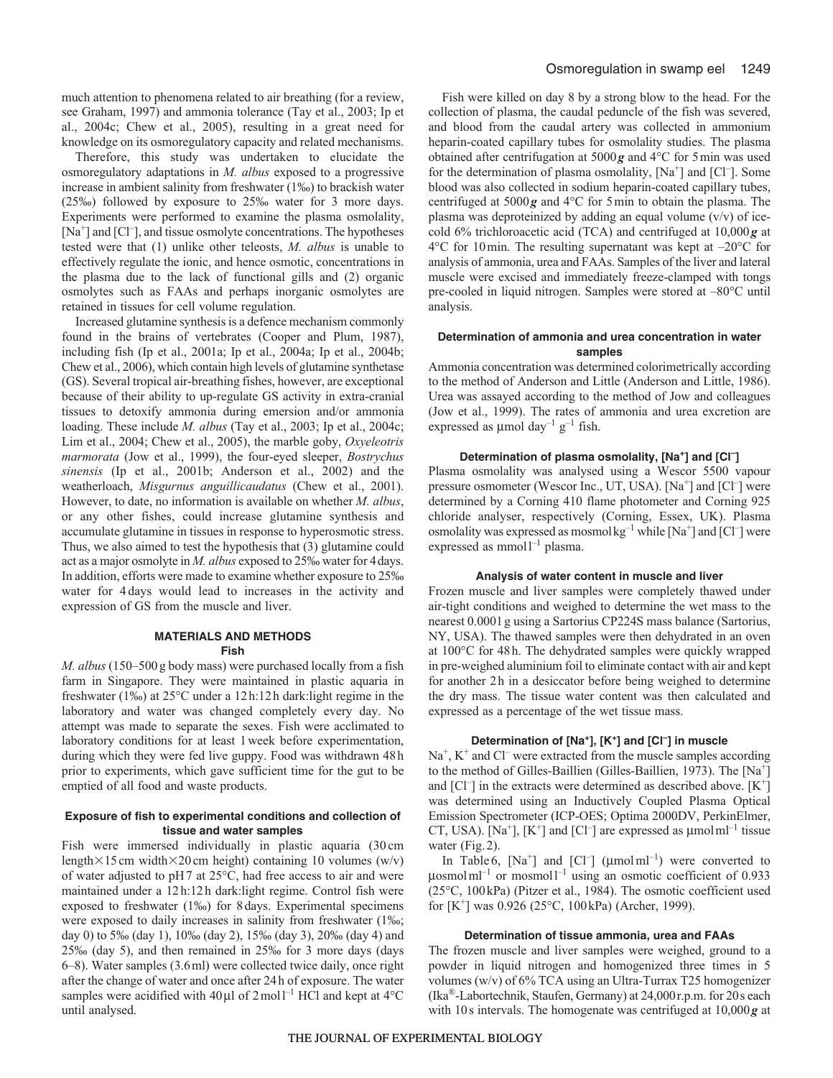much attention to phenomena related to air breathing (for a review, see Graham, 1997) and ammonia tolerance (Tay et al., 2003; Ip et al., 2004c; Chew et al., 2005), resulting in a great need for knowledge on its osmoregulatory capacity and related mechanisms.

Therefore, this study was undertaken to elucidate the osmoregulatory adaptations in *M. albus* exposed to a progressive increase in ambient salinity from freshwater (1‰) to brackish water (25‰) followed by exposure to 25‰ water for 3 more days. Experiments were performed to examine the plasma osmolality, [Na<sup>+</sup>] and [Cl<sup>-</sup>], and tissue osmolyte concentrations. The hypotheses tested were that (1) unlike other teleosts, *M. albus* is unable to effectively regulate the ionic, and hence osmotic, concentrations in the plasma due to the lack of functional gills and (2) organic osmolytes such as FAAs and perhaps inorganic osmolytes are retained in tissues for cell volume regulation.

Increased glutamine synthesis is a defence mechanism commonly found in the brains of vertebrates (Cooper and Plum, 1987), including fish (Ip et al., 2001a; Ip et al., 2004a; Ip et al., 2004b; Chew et al., 2006), which contain high levels of glutamine synthetase (GS). Several tropical air-breathing fishes, however, are exceptional because of their ability to up-regulate GS activity in extra-cranial tissues to detoxify ammonia during emersion and/or ammonia loading. These include *M. albus* (Tay et al., 2003; Ip et al., 2004c; Lim et al., 2004; Chew et al., 2005), the marble goby, *Oxyeleotris marmorata* (Jow et al., 1999), the four-eyed sleeper, *Bostrychus sinensis* (Ip et al., 2001b; Anderson et al., 2002) and the weatherloach, *Misgurnus anguillicaudatus* (Chew et al., 2001). However, to date, no information is available on whether *M. albus*, or any other fishes, could increase glutamine synthesis and accumulate glutamine in tissues in response to hyperosmotic stress. Thus, we also aimed to test the hypothesis that (3) glutamine could act as a major osmolyte in *M. albus* exposed to 25‰ water for 4days. In addition, efforts were made to examine whether exposure to 25‰ water for 4 days would lead to increases in the activity and expression of GS from the muscle and liver.

### **MATERIALS AND METHODS Fish**

*M. albus* (150–500g body mass) were purchased locally from a fish farm in Singapore. They were maintained in plastic aquaria in freshwater (1‰) at 25°C under a 12h:12h dark:light regime in the laboratory and water was changed completely every day. No attempt was made to separate the sexes. Fish were acclimated to laboratory conditions for at least 1week before experimentation, during which they were fed live guppy. Food was withdrawn 48h prior to experiments, which gave sufficient time for the gut to be emptied of all food and waste products.

# **Exposure of fish to experimental conditions and collection of tissue and water samples**

Fish were immersed individually in plastic aquaria (30 cm length $\times$ 15 cm width $\times$ 20 cm height) containing 10 volumes (w/v) of water adjusted to pH7 at 25°C, had free access to air and were maintained under a 12h:12h dark:light regime. Control fish were exposed to freshwater (1‰) for 8days. Experimental specimens were exposed to daily increases in salinity from freshwater (1‰; day 0) to 5‰ (day 1), 10‰ (day 2), 15‰ (day 3), 20‰ (day 4) and 25‰ (day 5), and then remained in 25‰ for 3 more days (days 6–8). Water samples (3.6ml) were collected twice daily, once right after the change of water and once after 24h of exposure. The water samples were acidified with  $40 \mu l$  of  $2 \text{mol}^{-1}$  HCl and kept at  $4^{\circ}$ C until analysed.

Fish were killed on day 8 by a strong blow to the head. For the collection of plasma, the caudal peduncle of the fish was severed, and blood from the caudal artery was collected in ammonium heparin-coated capillary tubes for osmolality studies. The plasma obtained after centrifugation at 5000*g* and 4°C for 5min was used for the determination of plasma osmolality, [Na<sup>+</sup>] and [Cl<sup>-</sup>]. Some blood was also collected in sodium heparin-coated capillary tubes, centrifuged at 5000*g* and 4°C for 5min to obtain the plasma. The plasma was deproteinized by adding an equal volume (v/v) of icecold 6% trichloroacetic acid (TCA) and centrifuged at 10,000*g* at 4°C for 10min. The resulting supernatant was kept at –20°C for analysis of ammonia, urea and FAAs. Samples of the liver and lateral muscle were excised and immediately freeze-clamped with tongs pre-cooled in liquid nitrogen. Samples were stored at –80°C until analysis.

# **Determination of ammonia and urea concentration in water samples**

Ammonia concentration was determined colorimetrically according to the method of Anderson and Little (Anderson and Little, 1986). Urea was assayed according to the method of Jow and colleagues (Jow et al., 1999). The rates of ammonia and urea excretion are expressed as  $\mu$ mol day<sup>-1</sup> g<sup>-1</sup> fish.

# **Determination of plasma osmolality, [Na+] and [Cl–]**

Plasma osmolality was analysed using a Wescor 5500 vapour pressure osmometer (Wescor Inc., UT, USA). [Na<sup>+</sup>] and [Cl<sup>-</sup>] were determined by a Corning 410 flame photometer and Corning 925 chloride analyser, respectively (Corning, Essex, UK). Plasma osmolality was expressed as mosmol $kg^{-1}$  while [Na<sup>+</sup>] and [Cl<sup>-</sup>] were expressed as mmol $l^{-1}$  plasma.

# **Analysis of water content in muscle and liver**

Frozen muscle and liver samples were completely thawed under air-tight conditions and weighed to determine the wet mass to the nearest 0.0001g using a Sartorius CP224S mass balance (Sartorius, NY, USA). The thawed samples were then dehydrated in an oven at 100°C for 48h. The dehydrated samples were quickly wrapped in pre-weighed aluminium foil to eliminate contact with air and kept for another 2h in a desiccator before being weighed to determine the dry mass. The tissue water content was then calculated and expressed as a percentage of the wet tissue mass.

### **Determination of [Na+], [K+] and [Cl–] in muscle**

 $Na<sup>+</sup>, K<sup>+</sup>$  and Cl<sup>–</sup> were extracted from the muscle samples according to the method of Gilles-Baillien (Gilles-Baillien, 1973). The [Na<sup>+</sup>] and [Cl<sup>-</sup>] in the extracts were determined as described above. [K<sup>+</sup>] was determined using an Inductively Coupled Plasma Optical Emission Spectrometer (ICP-OES; Optima 2000DV, PerkinElmer, CT, USA). [Na<sup>+</sup>], [K<sup>+</sup>] and [Cl<sup>-</sup>] are expressed as  $\mu$ mol ml<sup>-1</sup> tissue water (Fig. 2).

In Table 6,  $[Na^+]$  and  $[Cl^-]$  ( $\mu$ mol ml<sup>-1</sup>) were converted to  $\mu$ osmolm<sup>-1</sup> or mosmol<sup>-1</sup> using an osmotic coefficient of 0.933 (25°C, 100kPa) (Pitzer et al., 1984). The osmotic coefficient used for [K+] was 0.926 (25°C, 100kPa) (Archer, 1999).

# **Determination of tissue ammonia, urea and FAAs**

The frozen muscle and liver samples were weighed, ground to a powder in liquid nitrogen and homogenized three times in 5 volumes (w/v) of 6% TCA using an Ultra-Turrax T25 homogenizer (Ika®-Labortechnik, Staufen, Germany) at 24,000r.p.m. for 20s each with 10s intervals. The homogenate was centrifuged at 10,000*g* at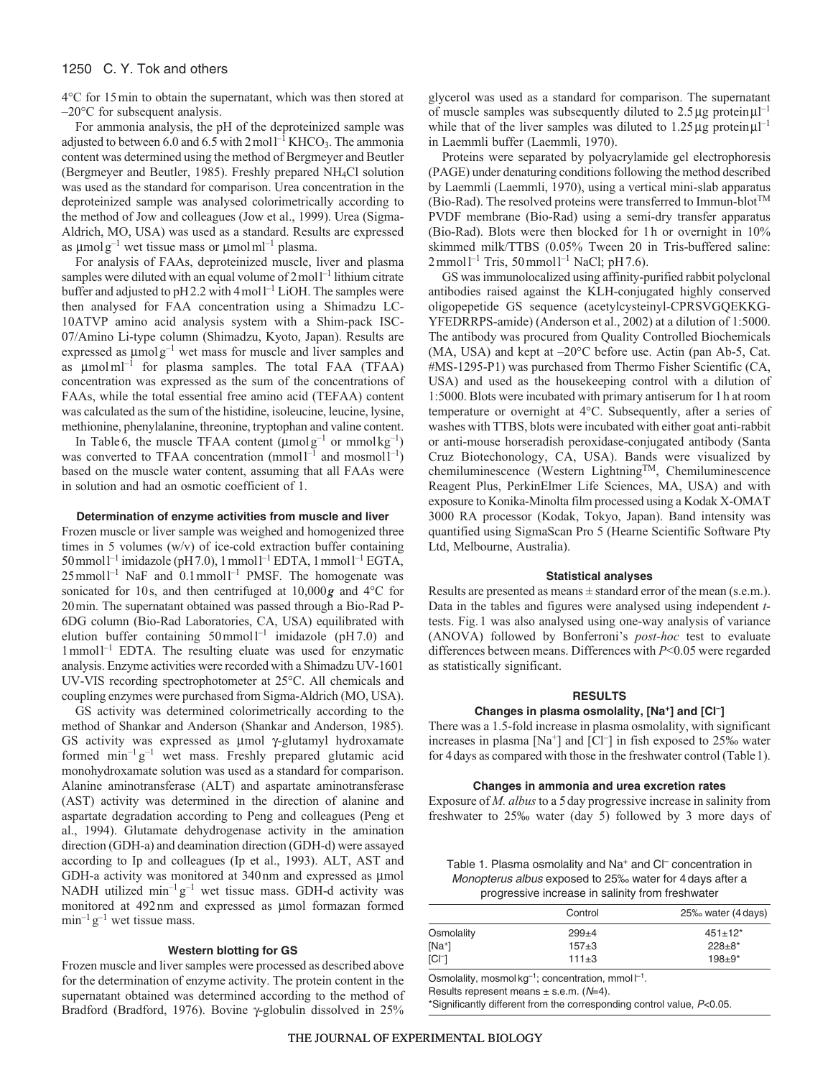4°C for 15min to obtain the supernatant, which was then stored at –20°C for subsequent analysis.

For ammonia analysis, the pH of the deproteinized sample was adjusted to between 6.0 and 6.5 with  $2 \text{ mol}^{-1}$  KHCO<sub>3</sub>. The ammonia content was determined using the method of Bergmeyer and Beutler (Bergmeyer and Beutler, 1985). Freshly prepared NH4Cl solution was used as the standard for comparison. Urea concentration in the deproteinized sample was analysed colorimetrically according to the method of Jow and colleagues (Jow et al., 1999). Urea (Sigma-Aldrich, MO, USA) was used as a standard. Results are expressed as μmolg<sup>-1</sup> wet tissue mass or μmolm<sup>-1</sup> plasma.

For analysis of FAAs, deproteinized muscle, liver and plasma samples were diluted with an equal volume of  $2 \text{ mol}^{-1}$  lithium citrate buffer and adjusted to  $pH2.2$  with 4 moll<sup>-1</sup> LiOH. The samples were then analysed for FAA concentration using a Shimadzu LC-10ATVP amino acid analysis system with a Shim-pack ISC-07/Amino Li-type column (Shimadzu, Kyoto, Japan). Results are expressed as μmolg–1 wet mass for muscle and liver samples and as  $\mu$ mol ml<sup>-1</sup> for plasma samples. The total FAA (TFAA) concentration was expressed as the sum of the concentrations of FAAs, while the total essential free amino acid (TEFAA) content was calculated as the sum of the histidine, isoleucine, leucine, lysine, methionine, phenylalanine, threonine, tryptophan and valine content.

In Table6, the muscle TFAA content  $(\mu \text{mol} g^{-1}$  or mmolkg<sup>-1</sup>) was converted to TFAA concentration (mmol<sup>1-1</sup> and mosmol<sup>1-1</sup>) based on the muscle water content, assuming that all FAAs were in solution and had an osmotic coefficient of 1.

#### **Determination of enzyme activities from muscle and liver**

Frozen muscle or liver sample was weighed and homogenized three times in 5 volumes (w/v) of ice-cold extraction buffer containing  $50$ mmoll<sup>-1</sup> imidazole (pH7.0), 1 mmoll<sup>-1</sup> EDTA, 1 mmoll<sup>-1</sup> EGTA,  $25$ mmol<sup>1-1</sup> NaF and  $0.1$ mmol<sup>1-1</sup> PMSF. The homogenate was sonicated for 10s, and then centrifuged at 10,000*g* and 4°C for 20min. The supernatant obtained was passed through a Bio-Rad P-6DG column (Bio-Rad Laboratories, CA, USA) equilibrated with elution buffer containing  $50$  mmoll<sup>-1</sup> imidazole (pH7.0) and  $1$  mmoll<sup>-1</sup> EDTA. The resulting eluate was used for enzymatic analysis. Enzyme activities were recorded with a Shimadzu UV-1601 UV-VIS recording spectrophotometer at 25°C. All chemicals and coupling enzymes were purchased from Sigma-Aldrich (MO, USA).

GS activity was determined colorimetrically according to the method of Shankar and Anderson (Shankar and Anderson, 1985). GS activity was expressed as μmol γ-glutamyl hydroxamate formed  $min^{-1} g^{-1}$  wet mass. Freshly prepared glutamic acid monohydroxamate solution was used as a standard for comparison. Alanine aminotransferase (ALT) and aspartate aminotransferase (AST) activity was determined in the direction of alanine and aspartate degradation according to Peng and colleagues (Peng et al., 1994). Glutamate dehydrogenase activity in the amination direction (GDH-a) and deamination direction (GDH-d) were assayed according to Ip and colleagues (Ip et al., 1993). ALT, AST and GDH-a activity was monitored at 340nm and expressed as μmol NADH utilized  $min^{-1}g^{-1}$  wet tissue mass. GDH-d activity was monitored at 492nm and expressed as μmol formazan formed  $\min^{-1} g^{-1}$  wet tissue mass.

#### **Western blotting for GS**

Frozen muscle and liver samples were processed as described above for the determination of enzyme activity. The protein content in the supernatant obtained was determined according to the method of Bradford (Bradford, 1976). Bovine γ-globulin dissolved in 25% glycerol was used as a standard for comparison. The supernatant of muscle samples was subsequently diluted to  $2.5 \mu$ g protein $\mu$ l<sup>-1</sup> while that of the liver samples was diluted to  $1.25 \mu$ g protein $\mu$ l<sup>-1</sup> in Laemmli buffer (Laemmli, 1970).

Proteins were separated by polyacrylamide gel electrophoresis (PAGE) under denaturing conditions following the method described by Laemmli (Laemmli, 1970), using a vertical mini-slab apparatus (Bio-Rad). The resolved proteins were transferred to Immun-blot<sup>TM</sup> PVDF membrane (Bio-Rad) using a semi-dry transfer apparatus (Bio-Rad). Blots were then blocked for 1h or overnight in 10% skimmed milk/TTBS (0.05% Tween 20 in Tris-buffered saline:  $2$ mmol $1^{-1}$  Tris, 50 mmol $1^{-1}$  NaCl; pH 7.6).

GS was immunolocalized using affinity-purified rabbit polyclonal antibodies raised against the KLH-conjugated highly conserved oligopepetide GS sequence (acetylcysteinyl-CPRSVGQEKKG-YFEDRRPS-amide) (Anderson et al., 2002) at a dilution of 1:5000. The antibody was procured from Quality Controlled Biochemicals (MA, USA) and kept at –20°C before use. Actin (pan Ab-5, Cat. #MS-1295-P1) was purchased from Thermo Fisher Scientific (CA, USA) and used as the housekeeping control with a dilution of 1:5000. Blots were incubated with primary antiserum for 1h at room temperature or overnight at 4°C. Subsequently, after a series of washes with TTBS, blots were incubated with either goat anti-rabbit or anti-mouse horseradish peroxidase-conjugated antibody (Santa Cruz Biotechonology, CA, USA). Bands were visualized by chemiluminescence (Western LightningTM, Chemiluminescence Reagent Plus, PerkinElmer Life Sciences, MA, USA) and with exposure to Konika-Minolta film processed using a Kodak X-OMAT 3000 RA processor (Kodak, Tokyo, Japan). Band intensity was quantified using SigmaScan Pro 5 (Hearne Scientific Software Pty Ltd, Melbourne, Australia).

#### **Statistical analyses**

Results are presented as means ± standard error of the mean (s.e.m.). Data in the tables and figures were analysed using independent *t*tests. Fig.1 was also analysed using one-way analysis of variance (ANOVA) followed by Bonferroni's *post-hoc* test to evaluate differences between means. Differences with *P*<0.05 were regarded as statistically significant.

# **RESULTS**

### **Changes in plasma osmolality, [Na+] and [Cl–]**

There was a 1.5-fold increase in plasma osmolality, with significant increases in plasma [Na<sup>+</sup>] and [Cl<sup>-</sup>] in fish exposed to 25‰ water for 4days as compared with those in the freshwater control (Table1).

#### **Changes in ammonia and urea excretion rates**

Exposure of *M. albus*to a 5day progressive increase in salinity from freshwater to 25‰ water (day 5) followed by 3 more days of

Table 1. Plasma osmolality and Na<sup>+</sup> and Cl<sup>–</sup> concentration in Monopterus albus exposed to 25‰ water for 4days after a progressive increase in salinity from freshwater

|            | Control     | 25‰ water (4 days) |
|------------|-------------|--------------------|
| Osmolality | $299+4$     | $451 \pm 12^*$     |
| $[Na^+]$   | $157 + 3$   | $228+8*$           |
| $ICI-1$    | $111 \pm 3$ | $198+9*$           |

Osmolality, mosmol  $kg^{-1}$ ; concentration, mmol  $I^{-1}$ .

Results represent means  $\pm$  s.e.m. ( $N=4$ ).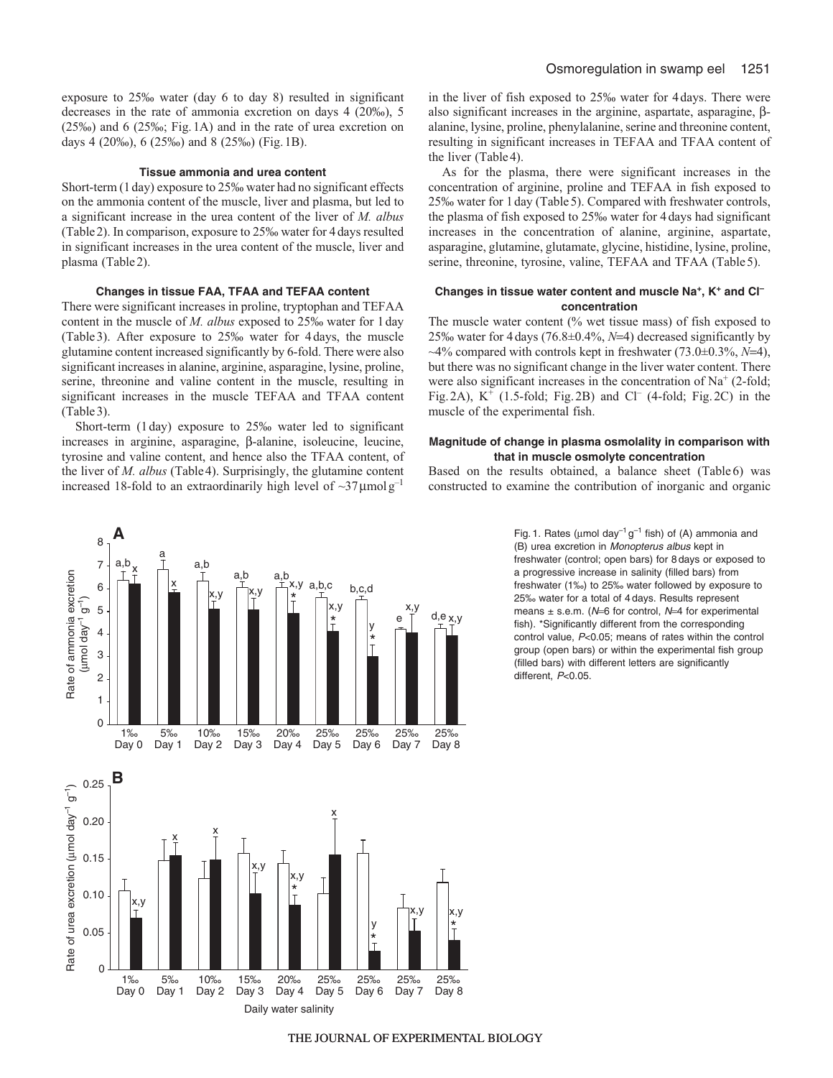### **Tissue ammonia and urea content**

Short-term (1day) exposure to 25‰ water had no significant effects on the ammonia content of the muscle, liver and plasma, but led to a significant increase in the urea content of the liver of *M. albus* (Table2). In comparison, exposure to 25‰ water for 4days resulted in significant increases in the urea content of the muscle, liver and plasma (Table2).

# **Changes in tissue FAA, TFAA and TEFAA content**

There were significant increases in proline, tryptophan and TEFAA content in the muscle of *M. albus* exposed to 25‰ water for 1day (Table3). After exposure to 25‰ water for 4days, the muscle glutamine content increased significantly by 6-fold. There were also significant increases in alanine, arginine, asparagine, lysine, proline, serine, threonine and valine content in the muscle, resulting in significant increases in the muscle TEFAA and TFAA content (Table3).

Short-term (1day) exposure to 25‰ water led to significant increases in arginine, asparagine, β-alanine, isoleucine, leucine, tyrosine and valine content, and hence also the TFAA content, of the liver of *M. albus* (Table4). Surprisingly, the glutamine content increased 18-fold to an extraordinarily high level of  $\sim$ 37 $\mu$ molg<sup>-1</sup>



in the liver of fish exposed to 25‰ water for 4days. There were also significant increases in the arginine, aspartate, asparagine, βalanine, lysine, proline, phenylalanine, serine and threonine content, resulting in significant increases in TEFAA and TFAA content of the liver (Table4).

As for the plasma, there were significant increases in the concentration of arginine, proline and TEFAA in fish exposed to 25‰ water for 1day (Table5). Compared with freshwater controls, the plasma of fish exposed to 25‰ water for 4days had significant increases in the concentration of alanine, arginine, aspartate, asparagine, glutamine, glutamate, glycine, histidine, lysine, proline, serine, threonine, tyrosine, valine, TEFAA and TFAA (Table5).

# **Changes in tissue water content and muscle Na+, K+ and Cl– concentration**

The muscle water content (% wet tissue mass) of fish exposed to 25‰ water for 4days (76.8±0.4%, *N*=4) decreased significantly by ~4% compared with controls kept in freshwater (73.0±0.3%, *N*=4), but there was no significant change in the liver water content. There were also significant increases in the concentration of  $Na<sup>+</sup>$  (2-fold; Fig.2A),  $K^+$  (1.5-fold; Fig.2B) and Cl<sup>-</sup> (4-fold; Fig.2C) in the muscle of the experimental fish.

# **Magnitude of change in plasma osmolality in comparison with that in muscle osmolyte concentration**

Based on the results obtained, a balance sheet (Table 6) was constructed to examine the contribution of inorganic and organic

> Fig. 1. Rates ( $\mu$ mol day<sup>-1</sup> g<sup>-1</sup> fish) of (A) ammonia and (B) urea excretion in Monopterus albus kept in freshwater (control; open bars) for 8 days or exposed to a progressive increase in salinity (filled bars) from freshwater (1‰) to 25‰ water followed by exposure to 25‰ water for a total of 4 days. Results represent means  $\pm$  s.e.m. (N=6 for control, N=4 for experimental fish). \*Significantly different from the corresponding control value, P<0.05; means of rates within the control group (open bars) or within the experimental fish group (filled bars) with different letters are significantly different, P<0.05.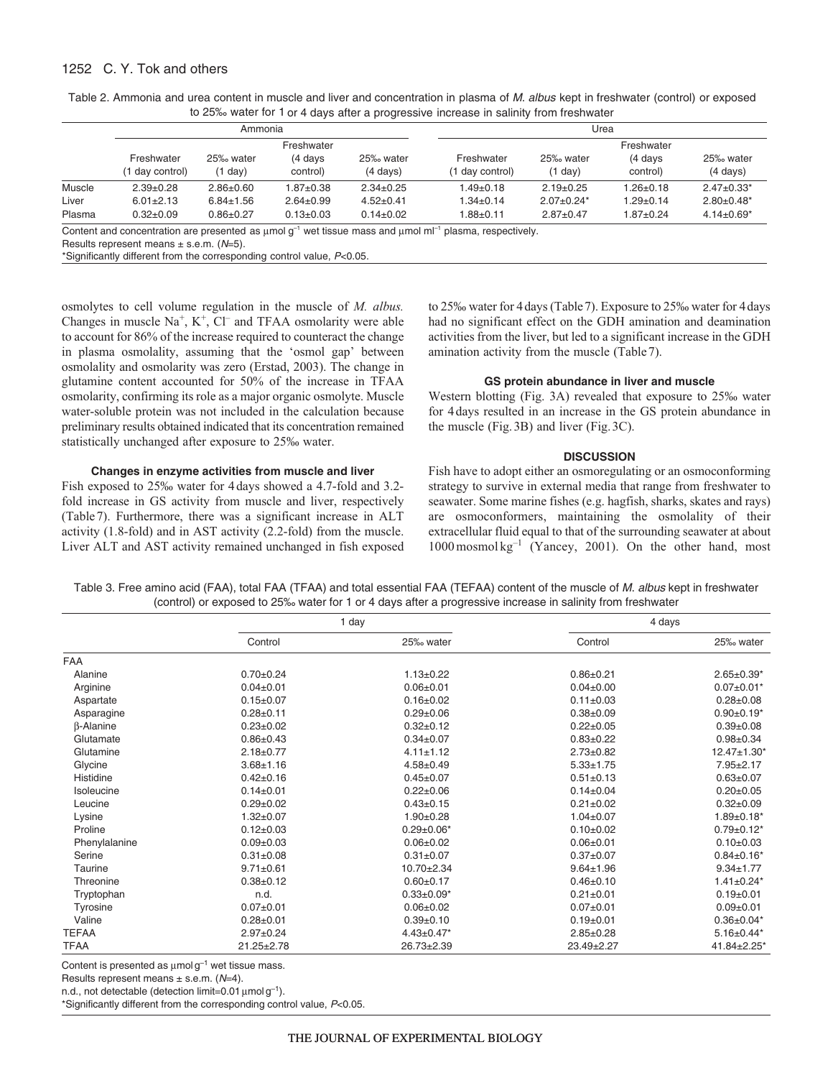| Table 2. Ammonia and urea content in muscle and liver and concentration in plasma of M. albus kept in freshwater (control) or exposed |  |
|---------------------------------------------------------------------------------------------------------------------------------------|--|
| to 25‰ water for 1 or 4 days after a progressive increase in salinity from freshwater                                                 |  |

|            | Ammonia                       |                      |                     |                                 | Urea                          |                      |                     |                                 |
|------------|-------------------------------|----------------------|---------------------|---------------------------------|-------------------------------|----------------------|---------------------|---------------------------------|
| Freshwater |                               |                      | Freshwater          |                                 |                               |                      |                     |                                 |
|            | Freshwater<br>(1 day control) | 25‰ water<br>(1 day) | (4 days<br>control) | 25% water<br>$(4 \text{ days})$ | Freshwater<br>(1 day control) | 25% water<br>(1 day) | (4 days<br>control) | 25‰ water<br>$(4 \text{ days})$ |
| Muscle     | $2.39 \pm 0.28$               | $2.86 \pm 0.60$      | $1.87 + 0.38$       | $2.34 \pm 0.25$                 | $.49 \pm 0.18$                | $2.19+0.25$          | $1.26 \pm 0.18$     | $2.47 \pm 0.33$ *               |
| Liver      | $6.01 \pm 2.13$               | $6.84 \pm 1.56$      | $2.64 \pm 0.99$     | $4.52 \pm 0.41$                 | $1.34 \pm 0.14$               | $2.07+0.24*$         | $1.29+0.14$         | $2.80 \pm 0.48^*$               |
| Plasma     | $0.32 \pm 0.09$               | $0.86 \pm 0.27$      | $0.13 \pm 0.03$     | $0.14 \pm 0.02$                 | $.88 \pm 0.11$                | $2.87+0.47$          | $1.87 + 0.24$       | $4.14 \pm 0.69$ *               |

Content and concentration are presented as  $\mu$ mol  $g^{-1}$  wet tissue mass and  $\mu$ mol m $l^{-1}$  plasma, respectively.

Results represent means ± s.e.m. (*N*=5).

\*Significantly different from the corresponding control value, *P*<0.05.

osmolytes to cell volume regulation in the muscle of *M. albus.* Changes in muscle  $Na^+$ ,  $K^+$ ,  $Cl^-$  and TFAA osmolarity were able to account for 86% of the increase required to counteract the change in plasma osmolality, assuming that the 'osmol gap' between osmolality and osmolarity was zero (Erstad, 2003). The change in glutamine content accounted for 50% of the increase in TFAA osmolarity, confirming its role as a major organic osmolyte. Muscle water-soluble protein was not included in the calculation because preliminary results obtained indicated that its concentration remained statistically unchanged after exposure to 25‰ water.

# **Changes in enzyme activities from muscle and liver**

Fish exposed to 25‰ water for 4days showed a 4.7-fold and 3.2 fold increase in GS activity from muscle and liver, respectively (Table7). Furthermore, there was a significant increase in ALT activity (1.8-fold) and in AST activity (2.2-fold) from the muscle. Liver ALT and AST activity remained unchanged in fish exposed to 25‰ water for 4days (Table7). Exposure to 25‰ water for 4days had no significant effect on the GDH amination and deamination activities from the liver, but led to a significant increase in the GDH amination activity from the muscle (Table7).

# **GS protein abundance in liver and muscle**

Western blotting (Fig. 3A) revealed that exposure to 25‰ water for 4days resulted in an increase in the GS protein abundance in the muscle (Fig.3B) and liver (Fig.3C).

### **DISCUSSION**

Fish have to adopt either an osmoregulating or an osmoconforming strategy to survive in external media that range from freshwater to seawater. Some marine fishes (e.g. hagfish, sharks, skates and rays) are osmoconformers, maintaining the osmolality of their extracellular fluid equal to that of the surrounding seawater at about  $1000$  mosmol kg<sup>-1</sup> (Yancey, 2001). On the other hand, most

Table 3. Free amino acid (FAA), total FAA (TFAA) and total essential FAA (TEFAA) content of the muscle of M. albus kept in freshwater (control) or exposed to 25‰ water for 1 or 4 days after a progressive increase in salinity from freshwater

|                  | 1 day            |                   | 4 days          |                   |
|------------------|------------------|-------------------|-----------------|-------------------|
|                  | Control          | 25‰ water         | Control         | 25‰ water         |
| <b>FAA</b>       |                  |                   |                 |                   |
| Alanine          | $0.70+0.24$      | $1.13 \pm 0.22$   | $0.86 + 0.21$   | $2.65 \pm 0.39$ * |
| Arginine         | $0.04 \pm 0.01$  | $0.06 + 0.01$     | $0.04 \pm 0.00$ | $0.07 \pm 0.01*$  |
| Aspartate        | $0.15 \pm 0.07$  | $0.16 \pm 0.02$   | $0.11 \pm 0.03$ | $0.28 + 0.08$     |
| Asparagine       | $0.28 + 0.11$    | $0.29 \pm 0.06$   | $0.38 + 0.09$   | $0.90 \pm 0.19*$  |
| $\beta$ -Alanine | $0.23 \pm 0.02$  | $0.32 \pm 0.12$   | $0.22 + 0.05$   | $0.39 + 0.08$     |
| Glutamate        | $0.86 \pm 0.43$  | $0.34 \pm 0.07$   | $0.83 + 0.22$   | $0.98 + 0.34$     |
| Glutamine        | $2.18 \pm 0.77$  | $4.11 \pm 1.12$   | $2.73 \pm 0.82$ | $12.47 \pm 1.30*$ |
| Glycine          | $3.68 + 1.16$    | $4.58 \pm 0.49$   | $5.33 \pm 1.75$ | $7.95 \pm 2.17$   |
| Histidine        | $0.42 \pm 0.16$  | $0.45 \pm 0.07$   | $0.51 \pm 0.13$ | $0.63 \pm 0.07$   |
| Isoleucine       | $0.14 \pm 0.01$  | $0.22 \pm 0.06$   | $0.14 \pm 0.04$ | $0.20 + 0.05$     |
| Leucine          | $0.29 + 0.02$    | $0.43 \pm 0.15$   | $0.21 \pm 0.02$ | $0.32{\pm}0.09$   |
| Lysine           | $1.32 \pm 0.07$  | $1.90 \pm 0.28$   | $1.04 \pm 0.07$ | $1.89 \pm 0.18^*$ |
| Proline          | $0.12 \pm 0.03$  | $0.29 \pm 0.06*$  | $0.10 + 0.02$   | $0.79 \pm 0.12^*$ |
| Phenylalanine    | $0.09 + 0.03$    | $0.06 \pm 0.02$   | $0.06 \pm 0.01$ | $0.10 + 0.03$     |
| Serine           | $0.31 \pm 0.08$  | $0.31 \pm 0.07$   | $0.37 + 0.07$   | $0.84 \pm 0.16*$  |
| Taurine          | $9.71 \pm 0.61$  | $10.70 + 2.34$    | $9.64 \pm 1.96$ | $9.34 \pm 1.77$   |
| Threonine        | $0.38 + 0.12$    | $0.60 + 0.17$     | $0.46 + 0.10$   | $1.41 \pm 0.24$ * |
| Tryptophan       | n.d.             | $0.33 \pm 0.09*$  | $0.21 \pm 0.01$ | $0.19 + 0.01$     |
| Tyrosine         | $0.07 + 0.01$    | $0.06 \pm 0.02$   | $0.07 + 0.01$   | $0.09 + 0.01$     |
| Valine           | $0.28 + 0.01$    | $0.39 + 0.10$     | $0.19+0.01$     | $0.36 \pm 0.04*$  |
| <b>TEFAA</b>     | $2.97 + 0.24$    | $4.43 \pm 0.47$ * | $2.85 \pm 0.28$ | $5.16 \pm 0.44*$  |
| <b>TFAA</b>      | $21.25 \pm 2.78$ | $26.73 \pm 2.39$  | 23.49±2.27      | 41.84±2.25*       |

Content is presented as  $\mu$ mol  $g^{-1}$  wet tissue mass.

Results represent means  $\pm$  s.e.m. ( $N=4$ ).

n.d., not detectable (detection limit=0.01  $\mu$ mol  $g^{-1}$ ).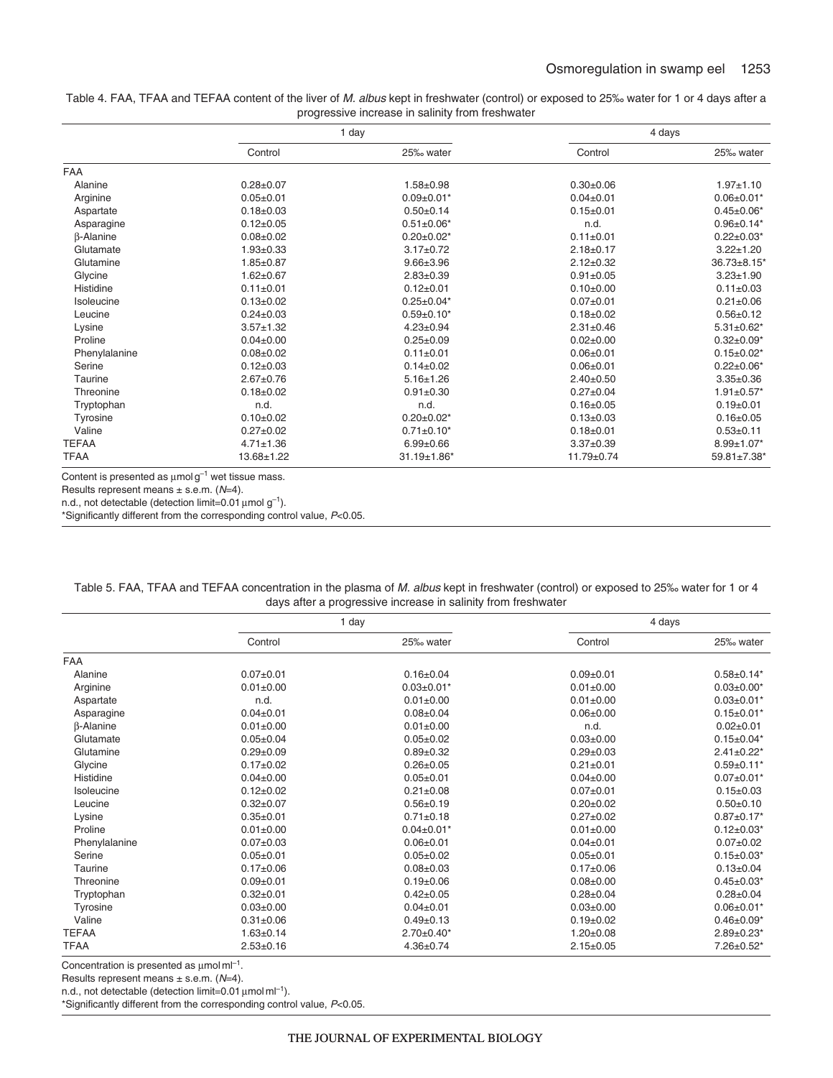|  |                                                  | Table 4. FAA, TFAA and TEFAA content of the liver of M. albus kept in freshwater (control) or exposed to 25% water for 1 or 4 days after a |
|--|--------------------------------------------------|--------------------------------------------------------------------------------------------------------------------------------------------|
|  | progressive increase in salinity from freshwater |                                                                                                                                            |

|               | 1 day           |                    | 4 days           |                   |
|---------------|-----------------|--------------------|------------------|-------------------|
|               | Control         | 25% water          | Control          | 25‰ water         |
| <b>FAA</b>    |                 |                    |                  |                   |
| Alanine       | $0.28 + 0.07$   | $1.58 + 0.98$      | $0.30 + 0.06$    | $1.97 + 1.10$     |
| Arginine      | $0.05 \pm 0.01$ | $0.09 \pm 0.01*$   | $0.04 \pm 0.01$  | $0.06 \pm 0.01*$  |
| Aspartate     | $0.18 + 0.03$   | $0.50+0.14$        | $0.15 \pm 0.01$  | $0.45 \pm 0.06*$  |
| Asparagine    | $0.12 \pm 0.05$ | $0.51 \pm 0.06*$   | n.d.             | $0.96 \pm 0.14*$  |
| β-Alanine     | $0.08 + 0.02$   | $0.20 \pm 0.02^*$  | $0.11 \pm 0.01$  | $0.22 \pm 0.03*$  |
| Glutamate     | $1.93 \pm 0.33$ | $3.17 \pm 0.72$    | $2.18 \pm 0.17$  | $3.22 + 1.20$     |
| Glutamine     | $1.85 \pm 0.87$ | $9.66 \pm 3.96$    | $2.12 \pm 0.32$  | 36.73±8.15*       |
| Glycine       | $1.62 \pm 0.67$ | $2.83 + 0.39$      | $0.91 \pm 0.05$  | $3.23 \pm 1.90$   |
| Histidine     | $0.11 \pm 0.01$ | $0.12 \pm 0.01$    | $0.10+0.00$      | $0.11 \pm 0.03$   |
| Isoleucine    | $0.13 \pm 0.02$ | $0.25 \pm 0.04*$   | $0.07 + 0.01$    | $0.21 \pm 0.06$   |
| Leucine       | $0.24 \pm 0.03$ | $0.59 \pm 0.10^*$  | $0.18 + 0.02$    | $0.56 \pm 0.12$   |
| Lysine        | $3.57 + 1.32$   | $4.23 \pm 0.94$    | $2.31 \pm 0.46$  | $5.31 \pm 0.62$ * |
| Proline       | $0.04 \pm 0.00$ | $0.25 \pm 0.09$    | $0.02 \pm 0.00$  | $0.32 \pm 0.09*$  |
| Phenylalanine | $0.08 + 0.02$   | $0.11 \pm 0.01$    | $0.06 \pm 0.01$  | $0.15 \pm 0.02$ * |
| Serine        | $0.12 \pm 0.03$ | $0.14 \pm 0.02$    | $0.06 \pm 0.01$  | $0.22 \pm 0.06*$  |
| Taurine       | $2.67+0.76$     | $5.16 \pm 1.26$    | $2.40+0.50$      | $3.35 \pm 0.36$   |
| Threonine     | $0.18 \pm 0.02$ | $0.91 \pm 0.30$    | $0.27 + 0.04$    | $1.91 \pm 0.57$ * |
| Tryptophan    | n.d.            | n.d.               | $0.16 + 0.05$    | $0.19+0.01$       |
| Tyrosine      | $0.10 \pm 0.02$ | $0.20 \pm 0.02^*$  | $0.13 \pm 0.03$  | $0.16 + 0.05$     |
| Valine        | $0.27 + 0.02$   | $0.71 \pm 0.10^*$  | $0.18 + 0.01$    | $0.53 + 0.11$     |
| <b>TEFAA</b>  | $4.71 \pm 1.36$ | $6.99 \pm 0.66$    | $3.37+0.39$      | $8.99 + 1.07*$    |
| <b>TFAA</b>   | 13.68±1.22      | $31.19 \pm 1.86$ * | $11.79 \pm 0.74$ | 59.81±7.38*       |

Content is presented as  $\mu$ mol  $g^{-1}$  wet tissue mass.

Results represent means  $\pm$  s.e.m. ( $N=4$ ).

n.d., not detectable (detection limit=0.01  $\mu$ mol  $g^{-1}$ ).

\*Significantly different from the corresponding control value, P<0.05.

| advocation a progressive intereduce in sailing from hestiwator |                 |                   |                 |                   |  |  |
|----------------------------------------------------------------|-----------------|-------------------|-----------------|-------------------|--|--|
|                                                                | 1 day           |                   |                 | 4 days            |  |  |
|                                                                | Control         | 25‰ water         | Control         | 25‰ water         |  |  |
| <b>FAA</b>                                                     |                 |                   |                 |                   |  |  |
| Alanine                                                        | $0.07 + 0.01$   | $0.16 \pm 0.04$   | $0.09 + 0.01$   | $0.58 \pm 0.14*$  |  |  |
| Arginine                                                       | $0.01 \pm 0.00$ | $0.03 \pm 0.01*$  | $0.01 \pm 0.00$ | $0.03 \pm 0.00*$  |  |  |
| Aspartate                                                      | n.d.            | $0.01 \pm 0.00$   | $0.01 \pm 0.00$ | $0.03 \pm 0.01*$  |  |  |
| Asparagine                                                     | $0.04 \pm 0.01$ | $0.08 \pm 0.04$   | $0.06 \pm 0.00$ | $0.15 \pm 0.01*$  |  |  |
| $\beta$ -Alanine                                               | $0.01 + 0.00$   | $0.01 \pm 0.00$   | n.d.            | $0.02 \pm 0.01$   |  |  |
| Glutamate                                                      | $0.05 + 0.04$   | $0.05 \pm 0.02$   | $0.03 \pm 0.00$ | $0.15 \pm 0.04*$  |  |  |
| Glutamine                                                      | $0.29 + 0.09$   | $0.89 + 0.32$     | $0.29 \pm 0.03$ | $2.41 \pm 0.22$ * |  |  |
| Glycine                                                        | $0.17+0.02$     | $0.26 \pm 0.05$   | $0.21 \pm 0.01$ | $0.59 \pm 0.11$ * |  |  |
| Histidine                                                      | $0.04 \pm 0.00$ | $0.05 + 0.01$     | $0.04 \pm 0.00$ | $0.07 \pm 0.01*$  |  |  |
| Isoleucine                                                     | $0.12 \pm 0.02$ | $0.21 \pm 0.08$   | $0.07 + 0.01$   | $0.15 \pm 0.03$   |  |  |
| Leucine                                                        | $0.32 + 0.07$   | $0.56 + 0.19$     | $0.20 \pm 0.02$ | $0.50 + 0.10$     |  |  |
| Lysine                                                         | $0.35 + 0.01$   | $0.71 \pm 0.18$   | $0.27 \pm 0.02$ | $0.87 + 0.17*$    |  |  |
| Proline                                                        | $0.01 + 0.00$   | $0.04 \pm 0.01*$  | $0.01 \pm 0.00$ | $0.12 \pm 0.03*$  |  |  |
| Phenylalanine                                                  | $0.07 + 0.03$   | $0.06 + 0.01$     | $0.04 \pm 0.01$ | $0.07 + 0.02$     |  |  |
| Serine                                                         | $0.05 + 0.01$   | $0.05 \pm 0.02$   | $0.05 + 0.01$   | $0.15 \pm 0.03*$  |  |  |
| Taurine                                                        | $0.17 + 0.06$   | $0.08 + 0.03$     | $0.17 \pm 0.06$ | $0.13 \pm 0.04$   |  |  |
| Threonine                                                      | $0.09 + 0.01$   | $0.19+0.06$       | $0.08 + 0.00$   | $0.45 \pm 0.03*$  |  |  |
| Tryptophan                                                     | $0.32 + 0.01$   | $0.42 \pm 0.05$   | $0.28 \pm 0.04$ | $0.28 + 0.04$     |  |  |
| Tyrosine                                                       | $0.03 \pm 0.00$ | $0.04 \pm 0.01$   | $0.03 \pm 0.00$ | $0.06 \pm 0.01*$  |  |  |
| Valine                                                         | $0.31 \pm 0.06$ | $0.49 + 0.13$     | $0.19+0.02$     | $0.46 \pm 0.09*$  |  |  |
| <b>TEFAA</b>                                                   | $1.63 \pm 0.14$ | $2.70 \pm 0.40^*$ | $1.20 \pm 0.08$ | $2.89 \pm 0.23$ * |  |  |
| <b>TFAA</b>                                                    | $2.53 \pm 0.16$ | $4.36 \pm 0.74$   | $2.15 \pm 0.05$ | 7.26±0.52*        |  |  |

Table 5. FAA, TFAA and TEFAA concentration in the plasma of M. albus kept in freshwater (control) or exposed to 25‰ water for 1 or 4 days after a progressive increase in salinity from freshwater

Concentration is presented as  $\mu$ mol m $l^{-1}$ .

Results represent means  $\pm$  s.e.m. ( $N=4$ ). n.d., not detectable (detection limit=0.01  $\mu$ mol ml<sup>-1</sup>).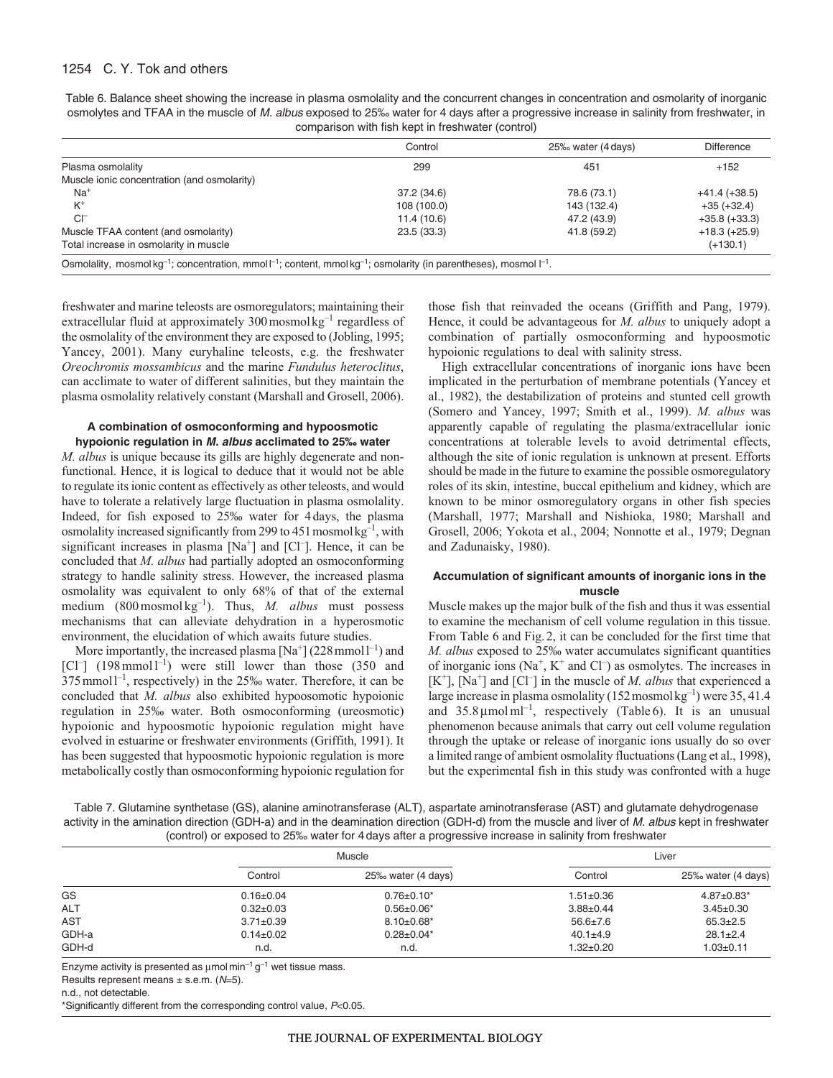| Table 6. Balance sheet showing the increase in plasma osmolality and the concurrent changes in concentration and osmolarity of inorganic  |
|-------------------------------------------------------------------------------------------------------------------------------------------|
| osmolytes and TFAA in the muscle of M. albus exposed to 25% water for 4 days after a progressive increase in salinity from freshwater, in |
| comparison with fish kept in freshwater (control)                                                                                         |

|                                             | Control     | 25‰ water (4 days) | <b>Difference</b> |
|---------------------------------------------|-------------|--------------------|-------------------|
| Plasma osmolality                           | 299         | 451                | $+152$            |
| Muscle ionic concentration (and osmolarity) |             |                    |                   |
| $Na+$                                       | 37.2 (34.6) | 78.6 (73.1)        | $+41.4 (+38.5)$   |
| $K^+$                                       | 108 (100.0) | 143 (132.4)        | $+35 (+32.4)$     |
| $Cl^-$                                      | 11.4 (10.6) | 47.2 (43.9)        | $+35.8(+33.3)$    |
| Muscle TFAA content (and osmolarity)        | 23.5(33.3)  | 41.8 (59.2)        | $+18.3 (+25.9)$   |
| Total increase in osmolarity in muscle      |             |                    | $(+130.1)$        |

freshwater and marine teleosts are osmoregulators; maintaining their extracellular fluid at approximately  $300$  mosmol kg<sup>-1</sup> regardless of the osmolality of the environment they are exposed to (Jobling, 1995; Yancey, 2001). Many euryhaline teleosts, e.g. the freshwater *Oreochromis mossambicus* and the marine *Fundulus heteroclitus*, can acclimate to water of different salinities, but they maintain the plasma osmolality relatively constant (Marshall and Grosell, 2006).

# **A combination of osmoconforming and hypoosmotic hypoionic regulation in M. albus acclimated to 25‰ water**

*M. albus* is unique because its gills are highly degenerate and nonfunctional. Hence, it is logical to deduce that it would not be able to regulate its ionic content as effectively as other teleosts, and would have to tolerate a relatively large fluctuation in plasma osmolality. Indeed, for fish exposed to 25‰ water for 4days, the plasma osmolality increased significantly from 299 to 451 mosmol $kg^{-1}$ , with significant increases in plasma  $[Na^+]$  and  $[Cl^-]$ . Hence, it can be concluded that *M. albus* had partially adopted an osmoconforming strategy to handle salinity stress. However, the increased plasma osmolality was equivalent to only 68% of that of the external medium (800 mosmol kg–1). Thus, *M. albus* must possess mechanisms that can alleviate dehydration in a hyperosmotic environment, the elucidation of which awaits future studies.

More importantly, the increased plasma  $[Na^+]$  (228 mmol<sup>1-1</sup>) and [ $Cl^-$ ] (198 mmol<sup>1-1</sup>) were still lower than those (350 and  $375$  mmol<sup> $-1$ </sup>, respectively) in the 25‰ water. Therefore, it can be concluded that *M. albus* also exhibited hypoosomotic hypoionic regulation in 25‰ water. Both osmoconforming (ureosmotic) hypoionic and hypoosmotic hypoionic regulation might have evolved in estuarine or freshwater environments (Griffith, 1991). It has been suggested that hypoosmotic hypoionic regulation is more metabolically costly than osmoconforming hypoionic regulation for those fish that reinvaded the oceans (Griffith and Pang, 1979). Hence, it could be advantageous for *M. albus* to uniquely adopt a combination of partially osmoconforming and hypoosmotic hypoionic regulations to deal with salinity stress.

High extracellular concentrations of inorganic ions have been implicated in the perturbation of membrane potentials (Yancey et al., 1982), the destabilization of proteins and stunted cell growth (Somero and Yancey, 1997; Smith et al., 1999). *M. albus* was apparently capable of regulating the plasma/extracellular ionic concentrations at tolerable levels to avoid detrimental effects, although the site of ionic regulation is unknown at present. Efforts should be made in the future to examine the possible osmoregulatory roles of its skin, intestine, buccal epithelium and kidney, which are known to be minor osmoregulatory organs in other fish species (Marshall, 1977; Marshall and Nishioka, 1980; Marshall and Grosell, 2006; Yokota et al., 2004; Nonnotte et al., 1979; Degnan and Zadunaisky, 1980).

### **Accumulation of significant amounts of inorganic ions in the muscle**

Muscle makes up the major bulk of the fish and thus it was essential to examine the mechanism of cell volume regulation in this tissue. From Table 6 and Fig.2, it can be concluded for the first time that *M. albus* exposed to 25‰ water accumulates significant quantities of inorganic ions ( $Na^+$ ,  $K^+$  and  $Cl^-$ ) as osmolytes. The increases in [K<sup>+</sup>], [Na<sup>+</sup>] and [Cl<sup>-</sup>] in the muscle of *M. albus* that experienced a large increase in plasma osmolality (152 mosmol  $kg^{-1}$ ) were 35, 41.4 and  $35.8 \mu$ mol ml<sup>-1</sup>, respectively (Table 6). It is an unusual phenomenon because animals that carry out cell volume regulation through the uptake or release of inorganic ions usually do so over a limited range of ambient osmolality fluctuations (Lang et al., 1998), but the experimental fish in this study was confronted with a huge

Table 7. Glutamine synthetase (GS), alanine aminotransferase (ALT), aspartate aminotransferase (AST) and glutamate dehydrogenase activity in the amination direction (GDH-a) and in the deamination direction (GDH-d) from the muscle and liver of M. albus kept in freshwater (control) or exposed to 25‰ water for 4days after a progressive increase in salinity from freshwater

|            | Muscle          |                    | Liver           |                    |
|------------|-----------------|--------------------|-----------------|--------------------|
|            | Control         | 25‰ water (4 days) | Control         | 25‰ water (4 days) |
| GS         | $0.16 \pm 0.04$ | $0.76 \pm 0.10^*$  | $1.51 \pm 0.36$ | $4.87 \pm 0.83$ *  |
| ALT        | $0.32 \pm 0.03$ | $0.56 \pm 0.06*$   | $3.88 \pm 0.44$ | $3.45 \pm 0.30$    |
| <b>AST</b> | $3.71 \pm 0.39$ | $8.10\pm0.68*$     | $56.6 \pm 7.6$  | $65.3 \pm 2.5$     |
| GDH-a      | $0.14 \pm 0.02$ | $0.28 \pm 0.04*$   | $40.1 \pm 4.9$  | $28.1 \pm 2.4$     |
| GDH-d      | n.d.            | n.d.               | $1.32 \pm 0.20$ | $1.03 + 0.11$      |

Enzyme activity is presented as  $\mu$ mol min<sup>-1</sup> g<sup>-1</sup> wet tissue mass.

Results represent means  $\pm$  s.e.m. ( $N=5$ ).

n.d., not detectable.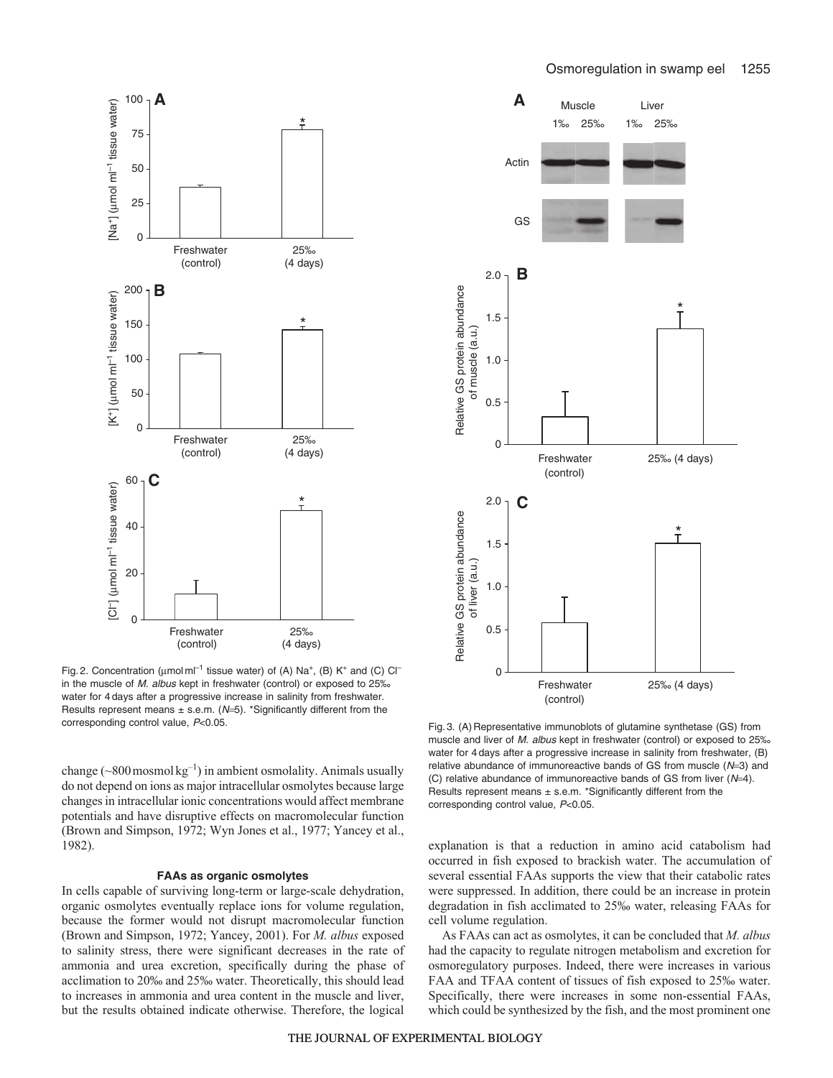

Fig. 2. Concentration ( $\mu$ mol m $^{-1}$  tissue water) of (A) Na<sup>+</sup>, (B) K<sup>+</sup> and (C) C $^{-}$ in the muscle of M. albus kept in freshwater (control) or exposed to 25‰ water for 4 days after a progressive increase in salinity from freshwater. Results represent means  $\pm$  s.e.m. (N=5). \*Significantly different from the corresponding control value, P<0.05.

change ( $\sim$ 800 mosmol kg<sup>-1</sup>) in ambient osmolality. Animals usually do not depend on ions as major intracellular osmolytes because large changes in intracellular ionic concentrations would affect membrane potentials and have disruptive effects on macromolecular function (Brown and Simpson, 1972; Wyn Jones et al., 1977; Yancey et al., 1982).

#### **FAAs as organic osmolytes**

In cells capable of surviving long-term or large-scale dehydration, organic osmolytes eventually replace ions for volume regulation, because the former would not disrupt macromolecular function (Brown and Simpson, 1972; Yancey, 2001). For *M. albus* exposed to salinity stress, there were significant decreases in the rate of ammonia and urea excretion, specifically during the phase of acclimation to 20‰ and 25‰ water. Theoretically, this should lead to increases in ammonia and urea content in the muscle and liver, but the results obtained indicate otherwise. Therefore, the logical



Fig. 3. (A) Representative immunoblots of glutamine synthetase (GS) from muscle and liver of M. albus kept in freshwater (control) or exposed to 25‰ water for 4 days after a progressive increase in salinity from freshwater, (B) relative abundance of immunoreactive bands of GS from muscle  $(N=3)$  and (C) relative abundance of immunoreactive bands of GS from liver (N=4). Results represent means  $\pm$  s.e.m. \*Significantly different from the corresponding control value, P<0.05.

explanation is that a reduction in amino acid catabolism had occurred in fish exposed to brackish water. The accumulation of several essential FAAs supports the view that their catabolic rates were suppressed. In addition, there could be an increase in protein degradation in fish acclimated to 25‰ water, releasing FAAs for cell volume regulation.

As FAAs can act as osmolytes, it can be concluded that *M. albus* had the capacity to regulate nitrogen metabolism and excretion for osmoregulatory purposes. Indeed, there were increases in various FAA and TFAA content of tissues of fish exposed to 25‰ water. Specifically, there were increases in some non-essential FAAs, which could be synthesized by the fish, and the most prominent one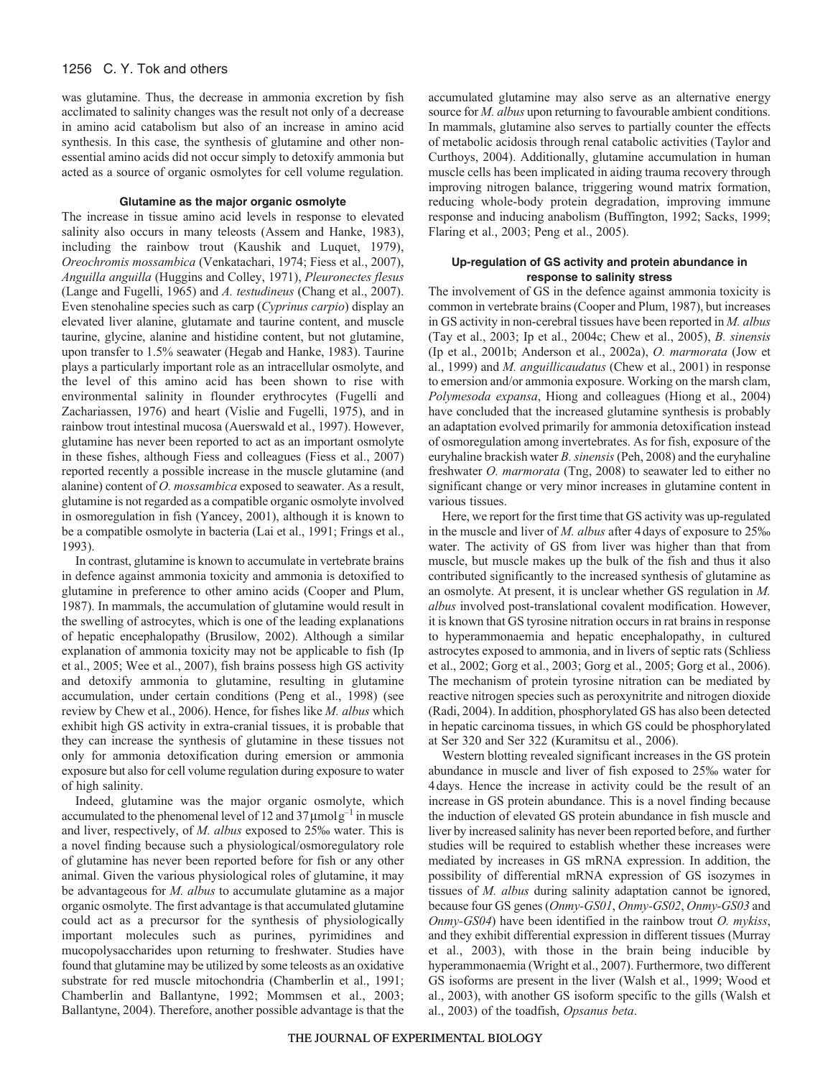was glutamine. Thus, the decrease in ammonia excretion by fish acclimated to salinity changes was the result not only of a decrease in amino acid catabolism but also of an increase in amino acid synthesis. In this case, the synthesis of glutamine and other nonessential amino acids did not occur simply to detoxify ammonia but acted as a source of organic osmolytes for cell volume regulation.

# **Glutamine as the major organic osmolyte**

The increase in tissue amino acid levels in response to elevated salinity also occurs in many teleosts (Assem and Hanke, 1983), including the rainbow trout (Kaushik and Luquet, 1979), *Oreochromis mossambica* (Venkatachari, 1974; Fiess et al., 2007), *Anguilla anguilla* (Huggins and Colley, 1971), *Pleuronectes flesus* (Lange and Fugelli, 1965) and *A. testudineus* (Chang et al., 2007). Even stenohaline species such as carp (*Cyprinus carpio*) display an elevated liver alanine, glutamate and taurine content, and muscle taurine, glycine, alanine and histidine content, but not glutamine, upon transfer to 1.5% seawater (Hegab and Hanke, 1983). Taurine plays a particularly important role as an intracellular osmolyte, and the level of this amino acid has been shown to rise with environmental salinity in flounder erythrocytes (Fugelli and Zachariassen, 1976) and heart (Vislie and Fugelli, 1975), and in rainbow trout intestinal mucosa (Auerswald et al., 1997). However, glutamine has never been reported to act as an important osmolyte in these fishes, although Fiess and colleagues (Fiess et al., 2007) reported recently a possible increase in the muscle glutamine (and alanine) content of *O. mossambica* exposed to seawater. As a result, glutamine is not regarded as a compatible organic osmolyte involved in osmoregulation in fish (Yancey, 2001), although it is known to be a compatible osmolyte in bacteria (Lai et al., 1991; Frings et al., 1993).

In contrast, glutamine is known to accumulate in vertebrate brains in defence against ammonia toxicity and ammonia is detoxified to glutamine in preference to other amino acids (Cooper and Plum, 1987). In mammals, the accumulation of glutamine would result in the swelling of astrocytes, which is one of the leading explanations of hepatic encephalopathy (Brusilow, 2002). Although a similar explanation of ammonia toxicity may not be applicable to fish (Ip et al., 2005; Wee et al., 2007), fish brains possess high GS activity and detoxify ammonia to glutamine, resulting in glutamine accumulation, under certain conditions (Peng et al., 1998) (see review by Chew et al., 2006). Hence, for fishes like *M. albus* which exhibit high GS activity in extra-cranial tissues, it is probable that they can increase the synthesis of glutamine in these tissues not only for ammonia detoxification during emersion or ammonia exposure but also for cell volume regulation during exposure to water of high salinity.

Indeed, glutamine was the major organic osmolyte, which accumulated to the phenomenal level of 12 and  $37 \mu$ molg<sup>-1</sup> in muscle and liver, respectively, of *M. albus* exposed to 25‰ water. This is a novel finding because such a physiological/osmoregulatory role of glutamine has never been reported before for fish or any other animal. Given the various physiological roles of glutamine, it may be advantageous for *M. albus* to accumulate glutamine as a major organic osmolyte. The first advantage is that accumulated glutamine could act as a precursor for the synthesis of physiologically important molecules such as purines, pyrimidines and mucopolysaccharides upon returning to freshwater. Studies have found that glutamine may be utilized by some teleosts as an oxidative substrate for red muscle mitochondria (Chamberlin et al., 1991; Chamberlin and Ballantyne, 1992; Mommsen et al., 2003; Ballantyne, 2004). Therefore, another possible advantage is that the accumulated glutamine may also serve as an alternative energy source for *M. albus* upon returning to favourable ambient conditions. In mammals, glutamine also serves to partially counter the effects of metabolic acidosis through renal catabolic activities (Taylor and Curthoys, 2004). Additionally, glutamine accumulation in human muscle cells has been implicated in aiding trauma recovery through improving nitrogen balance, triggering wound matrix formation, reducing whole-body protein degradation, improving immune response and inducing anabolism (Buffington, 1992; Sacks, 1999; Flaring et al., 2003; Peng et al., 2005).

# **Up-regulation of GS activity and protein abundance in response to salinity stress**

The involvement of GS in the defence against ammonia toxicity is common in vertebrate brains (Cooper and Plum, 1987), but increases in GS activity in non-cerebral tissues have been reported in *M. albus* (Tay et al., 2003; Ip et al., 2004c; Chew et al., 2005), *B. sinensis* (Ip et al., 2001b; Anderson et al., 2002a), *O. marmorata* (Jow et al., 1999) and *M. anguillicaudatus* (Chew et al., 2001) in response to emersion and/or ammonia exposure. Working on the marsh clam, *Polymesoda expansa*, Hiong and colleagues (Hiong et al., 2004) have concluded that the increased glutamine synthesis is probably an adaptation evolved primarily for ammonia detoxification instead of osmoregulation among invertebrates. As for fish, exposure of the euryhaline brackish water *B. sinensis* (Peh, 2008) and the euryhaline freshwater *O. marmorata* (Tng, 2008) to seawater led to either no significant change or very minor increases in glutamine content in various tissues.

Here, we report for the first time that GS activity was up-regulated in the muscle and liver of *M. albus* after 4days of exposure to 25‰ water. The activity of GS from liver was higher than that from muscle, but muscle makes up the bulk of the fish and thus it also contributed significantly to the increased synthesis of glutamine as an osmolyte. At present, it is unclear whether GS regulation in *M. albus* involved post-translational covalent modification. However, it is known that GS tyrosine nitration occurs in rat brains in response to hyperammonaemia and hepatic encephalopathy, in cultured astrocytes exposed to ammonia, and in livers of septic rats (Schliess et al., 2002; Gorg et al., 2003; Gorg et al., 2005; Gorg et al., 2006). The mechanism of protein tyrosine nitration can be mediated by reactive nitrogen species such as peroxynitrite and nitrogen dioxide (Radi, 2004). In addition, phosphorylated GS has also been detected in hepatic carcinoma tissues, in which GS could be phosphorylated at Ser 320 and Ser 322 (Kuramitsu et al., 2006).

Western blotting revealed significant increases in the GS protein abundance in muscle and liver of fish exposed to 25‰ water for 4days. Hence the increase in activity could be the result of an increase in GS protein abundance. This is a novel finding because the induction of elevated GS protein abundance in fish muscle and liver by increased salinity has never been reported before, and further studies will be required to establish whether these increases were mediated by increases in GS mRNA expression. In addition, the possibility of differential mRNA expression of GS isozymes in tissues of *M. albus* during salinity adaptation cannot be ignored, because four GS genes (*Onmy-GS01*, *Onmy-GS02*, *Onmy-GS03* and *Onmy-GS04*) have been identified in the rainbow trout *O. mykiss*, and they exhibit differential expression in different tissues (Murray et al., 2003), with those in the brain being inducible by hyperammonaemia (Wright et al., 2007). Furthermore, two different GS isoforms are present in the liver (Walsh et al., 1999; Wood et al., 2003), with another GS isoform specific to the gills (Walsh et al., 2003) of the toadfish, *Opsanus beta*.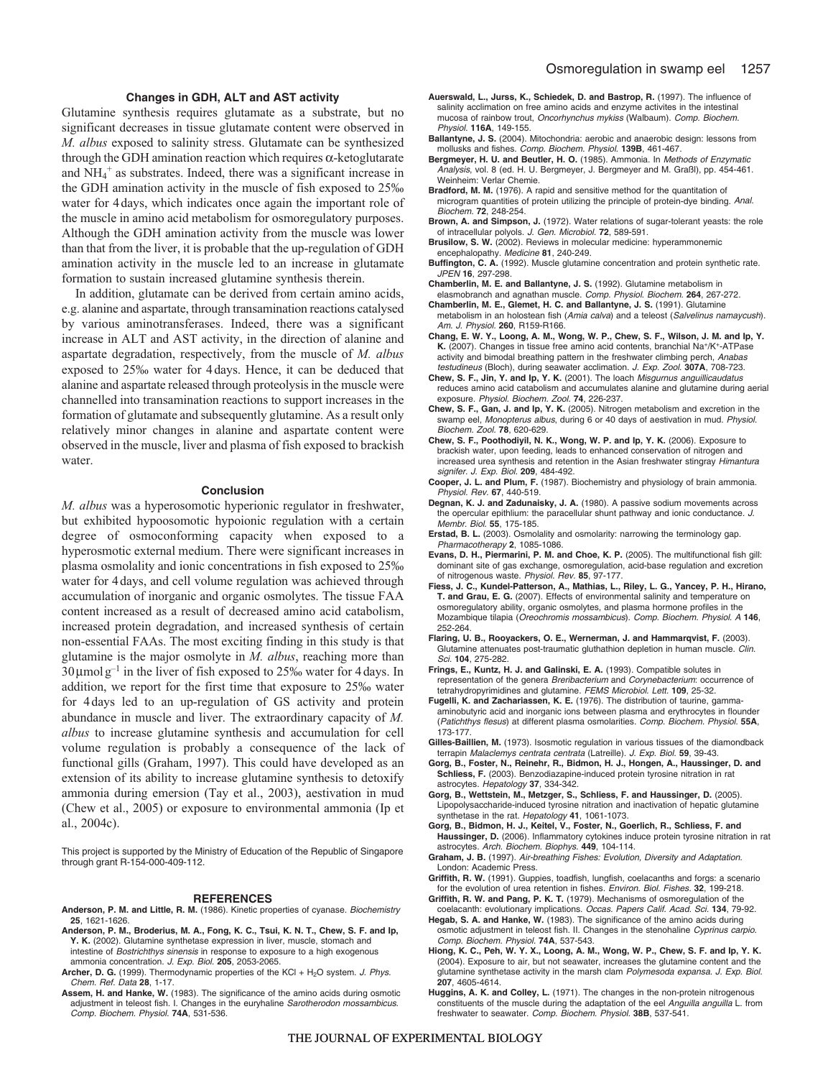# **Changes in GDH, ALT and AST activity**

Glutamine synthesis requires glutamate as a substrate, but no significant decreases in tissue glutamate content were observed in *M. albus* exposed to salinity stress. Glutamate can be synthesized through the GDH amination reaction which requires α-ketoglutarate and  $NH_4^+$  as substrates. Indeed, there was a significant increase in the GDH amination activity in the muscle of fish exposed to 25‰ water for 4days, which indicates once again the important role of the muscle in amino acid metabolism for osmoregulatory purposes. Although the GDH amination activity from the muscle was lower than that from the liver, it is probable that the up-regulation of GDH amination activity in the muscle led to an increase in glutamate formation to sustain increased glutamine synthesis therein.

In addition, glutamate can be derived from certain amino acids, e.g. alanine and aspartate, through transamination reactions catalysed by various aminotransferases. Indeed, there was a significant increase in ALT and AST activity, in the direction of alanine and aspartate degradation, respectively, from the muscle of *M. albus* exposed to 25‰ water for 4days. Hence, it can be deduced that alanine and aspartate released through proteolysis in the muscle were channelled into transamination reactions to support increases in the formation of glutamate and subsequently glutamine. As a result only relatively minor changes in alanine and aspartate content were observed in the muscle, liver and plasma of fish exposed to brackish water.

#### **Conclusion**

*M. albus* was a hyperosomotic hyperionic regulator in freshwater, but exhibited hypoosomotic hypoionic regulation with a certain degree of osmoconforming capacity when exposed to a hyperosmotic external medium. There were significant increases in plasma osmolality and ionic concentrations in fish exposed to 25‰ water for 4days, and cell volume regulation was achieved through accumulation of inorganic and organic osmolytes. The tissue FAA content increased as a result of decreased amino acid catabolism, increased protein degradation, and increased synthesis of certain non-essential FAAs. The most exciting finding in this study is that glutamine is the major osmolyte in *M. albus*, reaching more than  $30 \mu$ molg<sup>-1</sup> in the liver of fish exposed to 25‰ water for 4 days. In addition, we report for the first time that exposure to 25‰ water for 4days led to an up-regulation of GS activity and protein abundance in muscle and liver. The extraordinary capacity of *M. albus* to increase glutamine synthesis and accumulation for cell volume regulation is probably a consequence of the lack of functional gills (Graham, 1997). This could have developed as an extension of its ability to increase glutamine synthesis to detoxify ammonia during emersion (Tay et al., 2003), aestivation in mud (Chew et al., 2005) or exposure to environmental ammonia (Ip et al., 2004c).

This project is supported by the Ministry of Education of the Republic of Singapore through grant R-154-000-409-112.

#### **REFERENCES**

- **Anderson, P. M. and Little, R. M.** (1986). Kinetic properties of cyanase. Biochemistry **25**, 1621-1626.
- **Anderson, P. M., Broderius, M. A., Fong, K. C., Tsui, K. N. T., Chew, S. F. and Ip, Y. K.** (2002). Glutamine synthetase expression in liver, muscle, stomach and intestine of Bostrichthys sinensis in response to exposure to a high exogenous ammonia concentration. J. Exp. Biol. **205**, 2053-2065.
- Archer, D. G. (1999). Thermodynamic properties of the KCl + H<sub>2</sub>O system. J. Phys. Chem. Ref. Data **28**, 1-17.
- **Assem, H. and Hanke, W.** (1983). The significance of the amino acids during osmotic adjustment in teleost fish. I. Changes in the euryhaline Sarotherodon mossambicus. Comp. Biochem. Physiol. **74A**, 531-536.
- **Auerswald, L., Jurss, K., Schiedek, D. and Bastrop, R.** (1997). The influence of salinity acclimation on free amino acids and enzyme activites in the intestinal mucosa of rainbow trout, Oncorhynchus mykiss (Walbaum). Comp. Biochem. Physiol. **116A**, 149-155.
- **Ballantyne, J. S.** (2004). Mitochondria: aerobic and anaerobic design: lessons from mollusks and fishes. Comp. Biochem. Physiol. **139B**, 461-467.
- **Bergmeyer, H. U. and Beutler, H. O.** (1985). Ammonia. In Methods of Enzymatic Analysis, vol. 8 (ed. H. U. Bergmeyer, J. Bergmeyer and M. Graßl), pp. 454-461. Weinheim: Verlar Chemie.
- **Bradford, M. M.** (1976). A rapid and sensitive method for the quantitation of microgram quantities of protein utilizing the principle of protein-dye binding. Anal. Biochem. **72**, 248-254.
- **Brown, A. and Simpson, J.** (1972). Water relations of sugar-tolerant yeasts: the role of intracellular polyols. J. Gen. Microbiol. **72**, 589-591.
- **Brusilow, S. W.** (2002). Reviews in molecular medicine: hyperammonemic encephalopathy. Medicine **81**, 240-249.
- **Buffington, C. A.** (1992). Muscle glutamine concentration and protein synthetic rate. JPEN **16**, 297-298.
- **Chamberlin, M. E. and Ballantyne, J. S.** (1992). Glutamine metabolism in elasmobranch and agnathan muscle. Comp. Physiol. Biochem. **264**, 267-272.
- **Chamberlin, M. E., Glemet, H. C. and Ballantyne, J. S.** (1991). Glutamine metabolism in an holostean fish (Amia calva) and a teleost (Salvelinus namaycush).
- Am. J. Physiol. **260**, R159-R166. **Chang, E. W. Y., Loong, A. M., Wong, W. P., Chew, S. F., Wilson, J. M. and Ip, Y.** K. (2007). Changes in tissue free amino acid contents, branchial Na<sup>+</sup>/K<sup>+</sup>-ATPase activity and bimodal breathing pattern in the freshwater climbing perch, Anabas
- testudineus (Bloch), during seawater acclimation. J. Exp. Zool. **307A**, 708-723. **Chew, S. F., Jin, Y. and Ip, Y. K.** (2001). The loach Misgurnus anguillicaudatus reduces amino acid catabolism and accumulates alanine and glutamine during aerial
- exposure. Physiol. Biochem. Zool. **74**, 226-237. **Chew, S. F., Gan, J. and Ip, Y. K.** (2005). Nitrogen metabolism and excretion in the
- swamp eel, Monopterus albus, during 6 or 40 days of aestivation in mud. Physiol. Biochem. Zool. **78**, 620-629.
- **Chew, S. F., Poothodiyil, N. K., Wong, W. P. and Ip, Y. K.** (2006). Exposure to brackish water, upon feeding, leads to enhanced conservation of nitrogen and increased urea synthesis and retention in the Asian freshwater stingray Himantura signifer. J. Exp. Biol. **209**, 484-492.
- **Cooper, J. L. and Plum, F.** (1987). Biochemistry and physiology of brain ammonia. Physiol. Rev. **67**, 440-519.
- **Degnan, K. J. and Zadunaisky, J. A.** (1980). A passive sodium movements across the opercular epithlium: the paracellular shunt pathway and ionic conductance. J. Membr. Biol. **55**, 175-185.
- **Erstad, B. L.** (2003). Osmolality and osmolarity: narrowing the terminology gap. Pharmacotherapy **2**, 1085-1086.
- **Evans, D. H., Piermarini, P. M. and Choe, K. P.** (2005). The multifunctional fish gill: dominant site of gas exchange, osmoregulation, acid-base regulation and excretion of nitrogenous waste. Physiol. Rev. **85**, 97-177.
- **Fiess, J. C., Kundel-Patterson, A., Mathias, L., Riley, L. G., Yancey, P. H., Hirano, T. and Grau, E. G.** (2007). Effects of environmental salinity and temperature on osmoregulatory ability, organic osmolytes, and plasma hormone profiles in the Mozambique tilapia (Oreochromis mossambicus). Comp. Biochem. Physiol. A **146**, 252-264.
- **Flaring, U. B., Rooyackers, O. E., Wernerman, J. and Hammarqvist, F.** (2003). Glutamine attenuates post-traumatic gluthathion depletion in human muscle. Clin. Sci. **104**, 275-282.
- **Frings, E., Kuntz, H. J. and Galinski, E. A.** (1993). Compatible solutes in representation of the genera Breribacterium and Corynebacterium: occurrence of tetrahydropyrimidines and glutamine. FEMS Microbiol. Lett. **109**, 25-32.
- **Fugelli, K. and Zachariassen, K. E.** (1976). The distribution of taurine, gammaaminobutyric acid and inorganic ions between plasma and erythrocytes in flounder (Patichthys flesus) at different plasma osmolarities. Comp. Biochem. Physiol. **55A**, 173-177.
- **Gilles-Baillien, M.** (1973). Isosmotic regulation in various tissues of the diamondback terrapin Malaclemys centrata centrata (Latreille). J. Exp. Biol. **59**, 39-43.
- **Gorg, B., Foster, N., Reinehr, R., Bidmon, H. J., Hongen, A., Haussinger, D. and Schliess, F.** (2003). Benzodiazapine-induced protein tyrosine nitration in rat astrocytes. Hepatology **37**, 334-342.
- **Gorg, B., Wettstein, M., Metzger, S., Schliess, F. and Haussinger, D.** (2005). Lipopolysaccharide-induced tyrosine nitration and inactivation of hepatic glutamine synthetase in the rat. Hepatology **41**, 1061-1073.
- **Gorg, B., Bidmon, H. J., Keitel, V., Foster, N., Goerlich, R., Schliess, F. and Haussinger, D.** (2006). Inflammatory cytokines induce protein tyrosine nitration in rat astrocytes. Arch. Biochem. Biophys. **449**, 104-114.
- **Graham, J. B.** (1997). Air-breathing Fishes: Evolution, Diversity and Adaptation. London: Academic Press.
- **Griffith, R. W.** (1991). Guppies, toadfish, lungfish, coelacanths and forgs: a scenario for the evolution of urea retention in fishes. Environ. Biol. Fishes. **32**, 199-218.
- **Griffith, R. W. and Pang, P. K. T.** (1979). Mechanisms of osmoregulation of the coelacanth: evolutionary implications. Occas. Papers Calif. Acad. Sci. **134**, 79-92.
- **Hegab, S. A. and Hanke, W.** (1983). The significance of the amino acids during osmotic adjustment in teleost fish. II. Changes in the stenohaline Cyprinus carpio. Comp. Biochem. Physiol. **74A**, 537-543.
- **Hiong, K. C., Peh, W. Y. X., Loong, A. M., Wong, W. P., Chew, S. F. and Ip, Y. K.** (2004). Exposure to air, but not seawater, increases the glutamine content and the glutamine synthetase activity in the marsh clam Polymesoda expansa. J. Exp. Biol. **207**, 4605-4614.
- **Huggins, A. K. and Colley, L.** (1971). The changes in the non-protein nitrogenous constituents of the muscle during the adaptation of the eel Anguilla anguilla L. from freshwater to seawater. Comp. Biochem. Physiol. **38B**, 537-541.